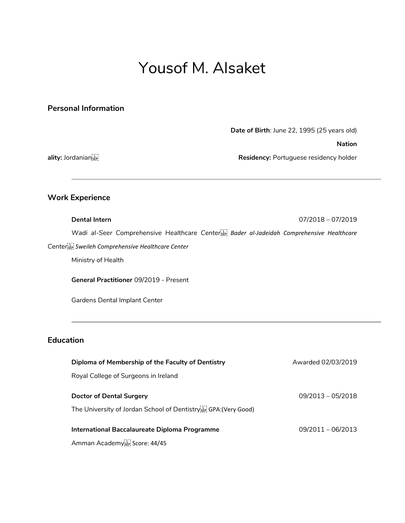# Yousof M. Alsaket

### **Personal Information**

**Date of Birth**: June 22, 1995 (25 years old)

**Nation**

**ality:** Jordanian **Residency:** Portuguese residency holder

# **Work Experience**

**Dental Intern** 07/2018 – 07/2019

*Wadi al-Seer Comprehensive Healthcare Center Bader al-Jadeidah Comprehensive Healthcare Center Sweileh Comprehensive Healthcare Center*

Ministry of Health

**General Practitioner** 09/2019 - Present

Gardens Dental Implant Center

## **Education**

| Diploma of Membership of the Faculty of Dentistry                            | Awarded 02/03/2019  |
|------------------------------------------------------------------------------|---------------------|
| Royal College of Surgeons in Ireland                                         |                     |
| Doctor of Dental Surgery                                                     | $09/2013 - 05/2018$ |
| The University of Jordan School of Dentistry <sup>[1]</sup> GPA: (Very Good) |                     |
| International Baccalaureate Diploma Programme                                | $09/2011 - 06/2013$ |
| Amman Academy <sup>[17]</sup> Score: 44/45                                   |                     |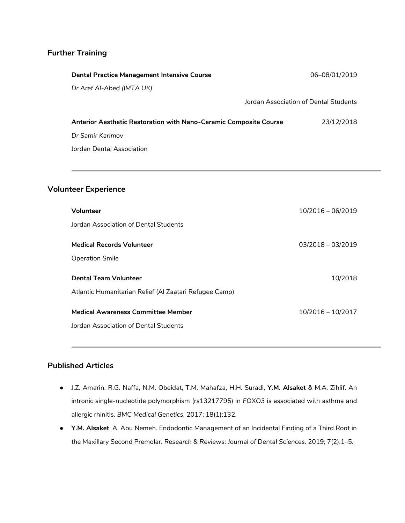# **Further Training**

| <b>Dental Practice Management Intensive Course</b>                       | 06-08/01/2019                         |
|--------------------------------------------------------------------------|---------------------------------------|
| Dr Aref Al-Abed (IMTA UK)                                                |                                       |
|                                                                          | Jordan Association of Dental Students |
| <b>Anterior Aesthetic Restoration with Nano-Ceramic Composite Course</b> | 23/12/2018                            |
| Dr Samir Karimov                                                         |                                       |
| Jordan Dental Association                                                |                                       |

## **Volunteer Experience**

| Volunteer                                              | $10/2016 - 06/2019$ |
|--------------------------------------------------------|---------------------|
| Jordan Association of Dental Students                  |                     |
| <b>Medical Records Volunteer</b>                       | $03/2018 - 03/2019$ |
| <b>Operation Smile</b>                                 |                     |
| <b>Dental Team Volunteer</b>                           | 10/2018             |
| Atlantic Humanitarian Relief (Al Zaatari Refugee Camp) |                     |
| <b>Medical Awareness Committee Member</b>              | $10/2016 - 10/2017$ |
| Jordan Association of Dental Students                  |                     |

# **Published Articles**

- J.Z. Amarin, R.G. Naffa, N.M. Obeidat, T.M. Mahafza, H.H. Suradi, **Y.M. Alsaket** & M.A. Zihlif. An intronic single-nucleotide polymorphism (rs13217795) in *FOXO3* is associated with asthma and allergic rhinitis. *BMC Medical Genetics.* 2017; 18(1):132.
- **Y.M. Alsaket**, A. Abu Nemeh. Endodontic Management of an Incidental Finding of a Third Root in the Maxillary Second Premolar. *Research & Reviews: Journal of Dental Sciences.* 2019; 7(2):1–5.